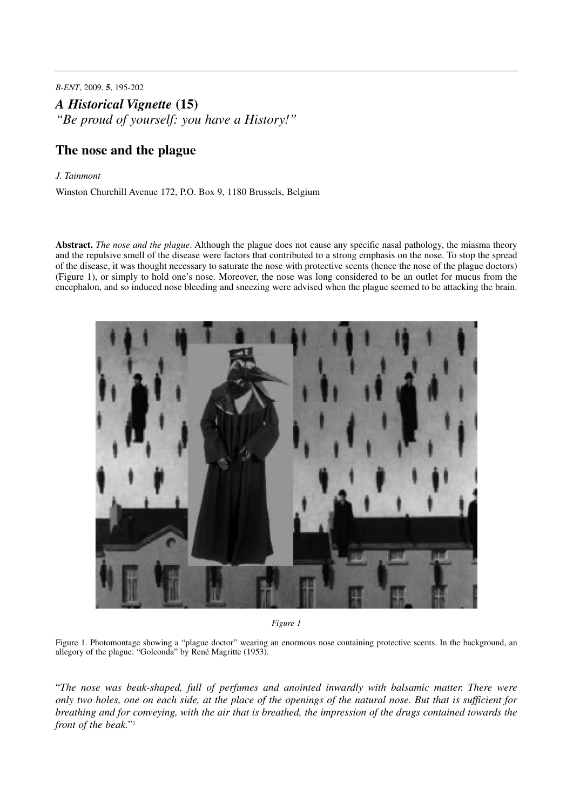*B-ENT*, 2009, **5**, 195-202

*A Historical Vignette* **(15)**

*"Be proud of yourself: you have a History!"*

# **The nose and the plague**

#### *J. Tainmont*

Winston Churchill Avenue 172, P.O. Box 9, 1180 Brussels, Belgium

**Abstract.** *The nose and the plague*. Although the plague does not cause any specific nasal pathology, the miasma theory and the repulsive smell of the disease were factors that contributed to a strong emphasis on the nose. To stop the spread of the disease, it was thought necessary to saturate the nose with protective scents (hence the nose of the plague doctors) (Figure 1), or simply to hold one's nose. Moreover, the nose was long considered to be an outlet for mucus from the encephalon, and so induced nose bleeding and sneezing were advised when the plague seemed to be attacking the brain.



*Figure 1*

Figure 1. Photomontage showing a "plague doctor" wearing an enormous nose containing protective scents. In the background, an allegory of the plague: "Golconda" by René Magritte (1953).

"*The nose was beak-shaped, full of perfumes and anointed inwardly with balsamic matter. There were* only two holes, one on each side, at the place of the openings of the natural nose. But that is sufficient for breathing and for conveving, with the air that is breathed, the impression of the drugs contained towards the *front of the beak.*"1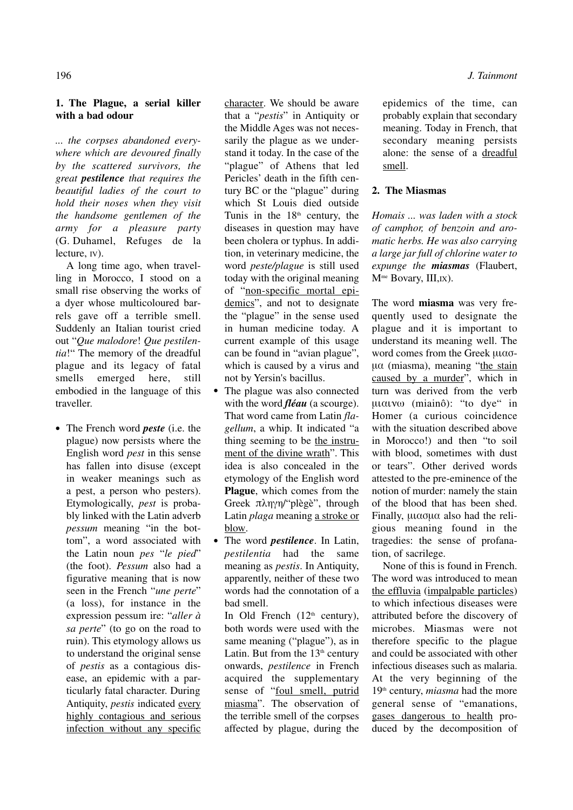## **1. The Plague, a serial killer with a bad odour**

*... the corpses abandoned everywhere which are devoured finally by the scattered survivors, the great pestilence that requires the beautiful ladies of the court to hold their noses when they visit the handsome gentlemen of the army for a pleasure party* (G. Duhamel, Refuges de la lecture, IV).

A long time ago, when travelling in Morocco, I stood on a small rise observing the works of a dyer whose multicoloured barrels gave off a terrible smell. Suddenly an Italian tourist cried out "*Que malodore*! *Que pestilentia*!" The memory of the dreadful plague and its legacy of fatal smells emerged here, still embodied in the language of this traveller.

**•** The French word *peste* (i.e. the plague) now persists where the English word *pest* in this sense has fallen into disuse (except in weaker meanings such as a pest, a person who pesters). Etymologically, *pest* is probably linked with the Latin adverb *pessum* meaning "in the bottom", a word associated with the Latin noun *pes* "*le pied*" (the foot). *Pessum* also had a figurative meaning that is now seen in the French "*une perte*" (a loss), for instance in the expression pessum ire: "*aller à sa perte*" (to go on the road to ruin). This etymology allows us to understand the original sense of *pestis* as a contagious disease, an epidemic with a particularly fatal character. During Antiquity, *pestis* indicated every highly contagious and serious infection without any specific character. We should be aware that a "*pestis*" in Antiquity or the Middle Ages was not necessarily the plague as we understand it today. In the case of the "plague" of Athens that led Pericles' death in the fifth century BC or the "plague" during which St Louis died outside Tunis in the  $18<sup>th</sup>$  century, the diseases in question may have been cholera or typhus. In addition, in veterinary medicine, the word *peste/plague* is still used today with the original meaning of "non-specific mortal epidemics", and not to designate the "plague" in the sense used in human medicine today. A current example of this usage can be found in "avian plague", which is caused by a virus and not by Yersin's bacillus.

- **•** The plague was also connected with the word *fléau* (a scourge). That word came from Latin *flagellum*, a whip. It indicated "a thing seeming to be the instrument of the divine wrath". This idea is also concealed in the etymology of the English word **Plague**, which comes from the Greek πληγη/"plègè", through Latin *plaga* meaning a stroke or blow.
- **•** The word *pestilence*. In Latin, *pestilentia* had the same meaning as *pestis*. In Antiquity, apparently, neither of these two words had the connotation of a bad smell.

In Old French  $(12<sup>th</sup>$  century), both words were used with the same meaning ("plague"), as in Latin. But from the  $13<sup>th</sup>$  century onwards, *pestilence* in French acquired the supplementary sense of "foul smell, putrid miasma". The observation of the terrible smell of the corpses affected by plague, during the

epidemics of the time, can probably explain that secondary meaning. Today in French, that secondary meaning persists alone: the sense of a dreadful smell.

### **2. The Miasmas**

*Homais ... was laden with a stock of camphor, of benzoin and aromatic herbs. He was also carrying a large jar full of chlorine water to expunge the miasmas* (Flaubert, M<sup>me</sup> Bovary, III,IX).

The word **miasma** was very frequently used to designate the plague and it is important to understand its meaning well. The word comes from the Greek  $\mu$ u $\alpha$ o- $\mu\alpha$  (miasma), meaning "the stain caused by a murder", which in turn was derived from the verb  $\mu$ u $\alpha$ v $\omega$  (miainô): "to dye" in Homer (a curious coincidence with the situation described above in Morocco!) and then "to soil with blood, sometimes with dust or tears". Other derived words attested to the pre-eminence of the notion of murder: namely the stain of the blood that has been shed. Finally,  $\mu\alpha\sigma\mu\alpha$  also had the religious meaning found in the tragedies: the sense of profanation, of sacrilege.

None of this is found in French. The word was introduced to mean the effluvia (impalpable particles) to which infectious diseases were attributed before the discovery of microbes. Miasmas were not therefore specific to the plague and could be associated with other infectious diseases such as malaria. At the very beginning of the 19th century, *miasma* had the more general sense of "emanations, gases dangerous to health produced by the decomposition of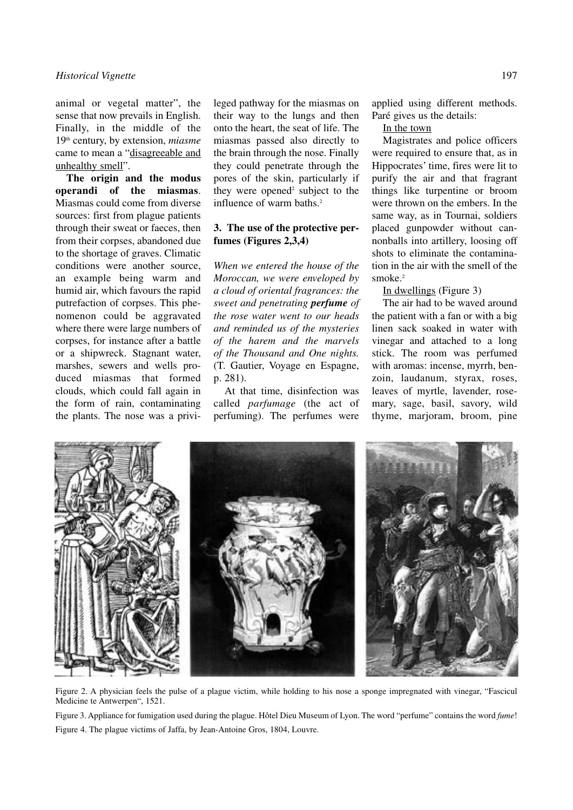animal or vegetal matter", the sense that now prevails in English. Finally, in the middle of the 19th century, by extension, *miasme* came to mean a "disagreeable and unhealthy smell".

**The origin and the modus operandi of the miasmas**. Miasmas could come from diverse sources: first from plague patients through their sweat or faeces, then from their corpses, abandoned due to the shortage of graves. Climatic conditions were another source, an example being warm and humid air, which favours the rapid putrefaction of corpses. This phenomenon could be aggravated where there were large numbers of corpses, for instance after a battle or a shipwreck. Stagnant water, marshes, sewers and wells produced miasmas that formed clouds, which could fall again in the form of rain, contaminating the plants. The nose was a privileged pathway for the miasmas on their way to the lungs and then onto the heart, the seat of life. The miasmas passed also directly to the brain through the nose. Finally they could penetrate through the pores of the skin, particularly if they were opened<sup>2</sup> subject to the influence of warm baths. 2

### **3. The use of the protective perfumes (Figures 2,3,4)**

*When we entered the house of the Moroccan, we were enveloped by a cloud of oriental fragrances: the sweet and penetrating perfume of the rose water went to our heads and reminded us of the mysteries of the harem and the marvels of the Thousand and One nights.* (T. Gautier, Voyage en Espagne, p. 281).

At that time, disinfection was called *parfumage* (the act of perfuming). The perfumes were

applied using different methods. Paré gives us the details:

In the town

Magistrates and police officers were required to ensure that, as in Hippocrates' time, fires were lit to purify the air and that fragrant things like turpentine or broom were thrown on the embers. In the same way, as in Tournai, soldiers placed gunpowder without cannonballs into artillery, loosing off shots to eliminate the contamination in the air with the smell of the smoke. 2

#### In dwellings (Figure 3)

The air had to be waved around the patient with a fan or with a big linen sack soaked in water with vinegar and attached to a long stick. The room was perfumed with aromas: incense, myrrh, benzoin, laudanum, styrax, roses, leaves of myrtle, lavender, rosemary, sage, basil, savory, wild thyme, marjoram, broom, pine



Figure 2. A physician feels the pulse of a plague victim, while holding to his nose a sponge impregnated with vinegar, "Fascicul Medicine te Antwerpen", 1521.

Figure 3. Appliance for fumigation used during the plague. Hôtel Dieu Museum of Lyon. The word "perfume" contains the word *fume*! Figure 4. The plague victims of Jaffa, by Jean-Antoine Gros, 1804, Louvre.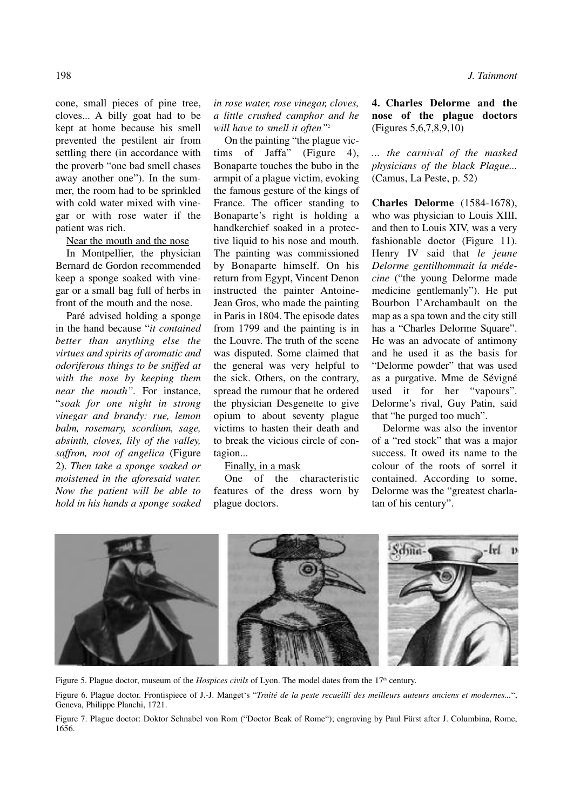198 *J. Tainmont*

cone, small pieces of pine tree, cloves... A billy goat had to be kept at home because his smell prevented the pestilent air from settling there (in accordance with the proverb "one bad smell chases away another one"). In the summer, the room had to be sprinkled with cold water mixed with vinegar or with rose water if the patient was rich.

Near the mouth and the nose

In Montpellier, the physician Bernard de Gordon recommended keep a sponge soaked with vinegar or a small bag full of herbs in front of the mouth and the nose.

Paré advised holding a sponge in the hand because "*it contained better than anything else the virtues and spirits of aromatic and odoriferous things to be sniffed at with the nose by keeping them near the mouth".* For instance, "*soak for one night in strong vinegar and brandy: rue, lemon balm, rosemary, scordium, sage, absinth, cloves, lily of the valley, saffron, root of angelica* (Figure 2). *Then take a sponge soaked or moistened in the aforesaid water. Now the patient will be able to hold in his hands a sponge soaked* *in rose water, rose vinegar, cloves, a little crushed camphor and he will have to smell it often"*<sup>2</sup>

On the painting "the plague victims of Jaffa" (Figure 4), Bonaparte touches the bubo in the armpit of a plague victim, evoking the famous gesture of the kings of France. The officer standing to Bonaparte's right is holding a handkerchief soaked in a protective liquid to his nose and mouth. The painting was commissioned by Bonaparte himself. On his return from Egypt, Vincent Denon instructed the painter Antoine-Jean Gros, who made the painting in Paris in 1804. The episode dates from 1799 and the painting is in the Louvre. The truth of the scene was disputed. Some claimed that the general was very helpful to the sick. Others, on the contrary, spread the rumour that he ordered the physician Desgenette to give opium to about seventy plague victims to hasten their death and to break the vicious circle of contagion...

Finally, in a mask

One of the characteristic features of the dress worn by plague doctors.

**4. Charles Delorme and the nose of the plague doctors** (Figures 5,6,7,8,9,10)

*... the carnival of the masked physicians of the black Plague...* (Camus, La Peste, p. 52)

**Charles Delorme** (1584-1678), who was physician to Louis XIII, and then to Louis XIV, was a very fashionable doctor (Figure 11). Henry IV said that *le jeune Delorme gentilhommait la médecine* ("the young Delorme made medicine gentlemanly"). He put Bourbon l'Archambault on the map as a spa town and the city still has a "Charles Delorme Square". He was an advocate of antimony and he used it as the basis for "Delorme powder" that was used as a purgative. Mme de Sévigné used it for her "vapours". Delorme's rival, Guy Patin, said that "he purged too much".

Delorme was also the inventor of a "red stock" that was a major success. It owed its name to the colour of the roots of sorrel it contained. According to some, Delorme was the "greatest charlatan of his century".



Figure 5. Plague doctor, museum of the *Hospices civils* of Lyon. The model dates from the 17<sup>th</sup> century.

Figure 6. Plague doctor. Frontispiece of J.-J. Manget's "*Traité de la peste recueilli des meilleurs auteurs anciens et modernes...*", Geneva, Philippe Planchi, 1721.

Figure 7. Plague doctor: Doktor Schnabel von Rom ("Doctor Beak of Rome"); engraving by Paul Fürst after J. Columbina, Rome, 1656.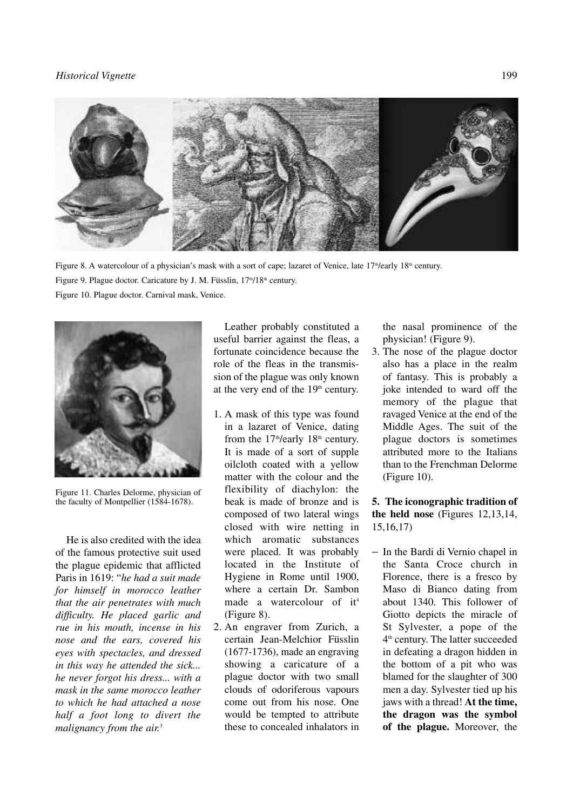### *Historical Vignette* 199



Figure 8. A watercolour of a physician's mask with a sort of cape; lazaret of Venice, late 17<sup>th</sup>/early 18<sup>th</sup> century. Figure 9. Plague doctor. Caricature by J. M. Füsslin, 17<sup>th</sup>/18<sup>th</sup> century. Figure 10. Plague doctor. Carnival mask, Venice.



Figure 11. Charles Delorme, physician of the faculty of Montpellier (1584-1678).

He is also credited with the idea of the famous protective suit used the plague epidemic that afflicted Paris in 1619: "*he had a suit made for himself in morocco leather that the air penetrates with much difficulty. He placed garlic and rue in his mouth, incense in his nose and the ears, covered his eyes with spectacles, and dressed in this way he attended the sick... he never forgot his dress... with a mask in the same morocco leather to which he had attached a nose half a foot long to divert the malignancy from the air.* 3

Leather probably constituted a useful barrier against the fleas, a fortunate coincidence because the role of the fleas in the transmission of the plague was only known at the very end of the  $19<sup>th</sup>$  century.

- 1. A mask of this type was found in a lazaret of Venice, dating from the  $17<sup>th</sup>/early$   $18<sup>th</sup>$  century. It is made of a sort of supple oilcloth coated with a yellow matter with the colour and the flexibility of diachylon: the beak is made of bronze and is composed of two lateral wings closed with wire netting in which aromatic substances were placed. It was probably located in the Institute of Hygiene in Rome until 1900, where a certain Dr. Sambon made a watercolour of it 4 (Figure 8).
- 2. An engraver from Zurich, a certain Jean-Melchior Füsslin (1677-1736), made an engraving showing a caricature of a plague doctor with two small clouds of odoriferous vapours come out from his nose. One would be tempted to attribute these to concealed inhalators in

the nasal prominence of the physician! (Figure 9).

3. The nose of the plague doctor also has a place in the realm of fantasy. This is probably a joke intended to ward off the memory of the plague that ravaged Venice at the end of the Middle Ages. The suit of the plague doctors is sometimes attributed more to the Italians than to the Frenchman Delorme (Figure 10).

**5. The iconographic tradition of the held nose** (Figures 12,13,14, 15,16,17)

– In the Bardi di Vernio chapel in the Santa Croce church in Florence, there is a fresco by Maso di Bianco dating from about 1340. This follower of Giotto depicts the miracle of St Sylvester, a pope of the  $4<sup>th</sup>$  century. The latter succeeded in defeating a dragon hidden in the bottom of a pit who was blamed for the slaughter of 300 men a day. Sylvester tied up his jaws with a thread! **At the time, the dragon was the symbol of the plague.** Moreover, the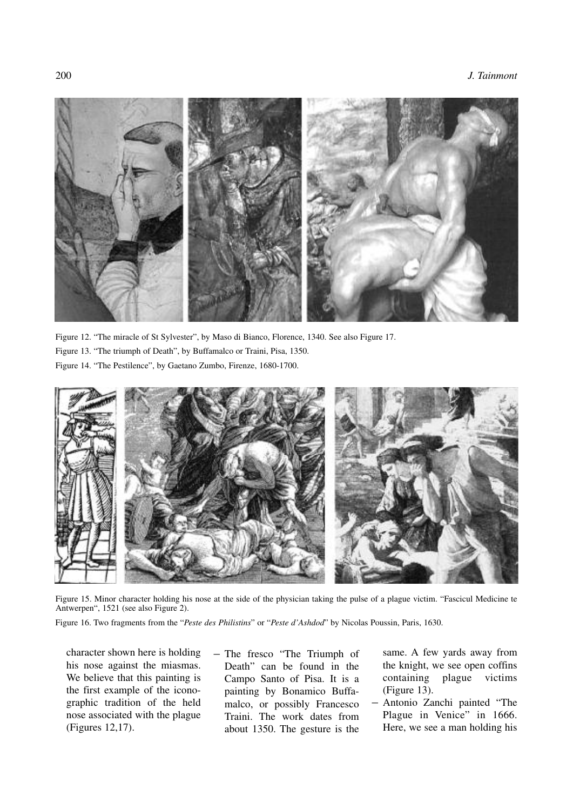

Figure 12. "The miracle of St Sylvester", by Maso di Bianco, Florence, 1340. See also Figure 17.

- Figure 13. "The triumph of Death", by Buffamalco or Traini, Pisa, 1350.
- Figure 14. "The Pestilence", by Gaetano Zumbo, Firenze, 1680-1700.



Figure 15. Minor character holding his nose at the side of the physician taking the pulse of a plague victim. "Fascicul Medicine te Antwerpen", 1521 (see also Figure 2).

Figure 16. Two fragments from the "*Peste des Philistins*" or "*Peste d'Ashdod*" by Nicolas Poussin, Paris, 1630.

character shown here is holding his nose against the miasmas. We believe that this painting is the first example of the iconographic tradition of the held nose associated with the plague (Figures 12,17).

– The fresco "The Triumph of Death" can be found in the Campo Santo of Pisa. It is a painting by Bonamico Buffamalco, or possibly Francesco Traini. The work dates from about 1350. The gesture is the same. A few yards away from the knight, we see open coffins containing plague victims (Figure 13).

– Antonio Zanchi painted "The Plague in Venice" in 1666. Here, we see a man holding his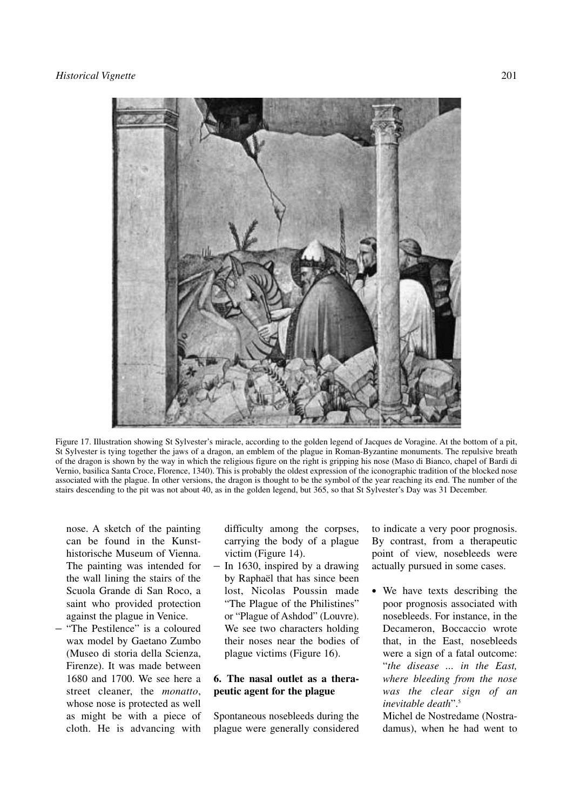

Figure 17. Illustration showing St Sylvester's miracle, according to the golden legend of Jacques de Voragine. At the bottom of a pit, St Sylvester is tying together the jaws of a dragon, an emblem of the plague in Roman-Byzantine monuments. The repulsive breath of the dragon is shown by the way in which the religious figure on the right is gripping his nose (Maso di Bianco, chapel of Bardi di Vernio, basilica Santa Croce, Florence, 1340). This is probably the oldest expression of the iconographic tradition of the blocked nose associated with the plague. In other versions, the dragon is thought to be the symbol of the year reaching its end. The number of the stairs descending to the pit was not about 40, as in the golden legend, but 365, so that St Sylvester's Day was 31 December.

nose. A sketch of the painting can be found in the Kunsthistorische Museum of Vienna. The painting was intended for the wall lining the stairs of the Scuola Grande di San Roco, a saint who provided protection against the plague in Venice.

– "The Pestilence" is a coloured wax model by Gaetano Zumbo (Museo di storia della Scienza, Firenze). It was made between 1680 and 1700. We see here a street cleaner, the *monatto*, whose nose is protected as well as might be with a piece of cloth. He is advancing with difficulty among the corpses, carrying the body of a plague victim (Figure 14).

– In 1630, inspired by a drawing by Raphaël that has since been lost, Nicolas Poussin made "The Plague of the Philistines" or "Plague of Ashdod" (Louvre). We see two characters holding their noses near the bodies of plague victims (Figure 16).

## **6. The nasal outlet as a therapeutic agent for the plague**

Spontaneous nosebleeds during the plague were generally considered to indicate a very poor prognosis. By contrast, from a therapeutic point of view, nosebleeds were actually pursued in some cases.

**•** We have texts describing the poor prognosis associated with nosebleeds. For instance, in the Decameron, Boccaccio wrote that, in the East, nosebleeds were a sign of a fatal outcome: "*the disease ... in the East, where bleeding from the nose was the clear sign of an inevitable death*". 5

Michel de Nostredame (Nostradamus), when he had went to